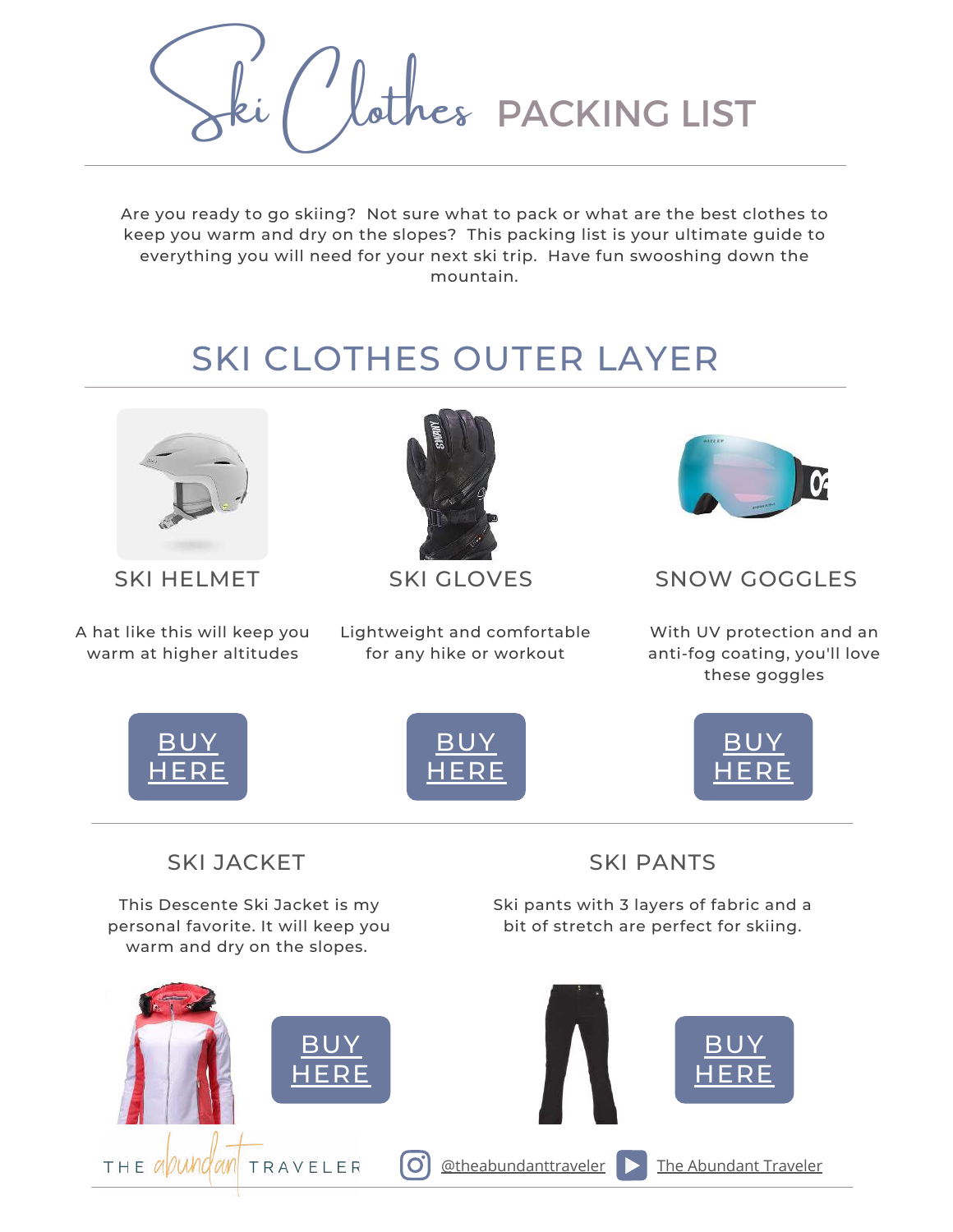Wathes PACKING LIST

Are you ready to go skiing? Not sure what to pack or what are the best clothes to keep you warm and dry on the slopes? This packing list is your ultimate guide to everything you will need for your next ski trip. Have fun swooshing down the mountain.

## SKI CLOTHES OUTER LAYER



A hat like this will keep you warm at higher altitudes



Lightweight and comfortable for any hike or workout



## SKI HELMET SKI GLOVES SNOW GOGGLES

With UV protection and an anti-fog coating, you'll love these goggles



## SKI JACKET

This Descente Ski Jacket is my personal favorite. It will keep you warm and dry on the slopes.

SKI PANTS

Ski pants with 3 layers of fabric and a bit of stretch are perfect for skiing.